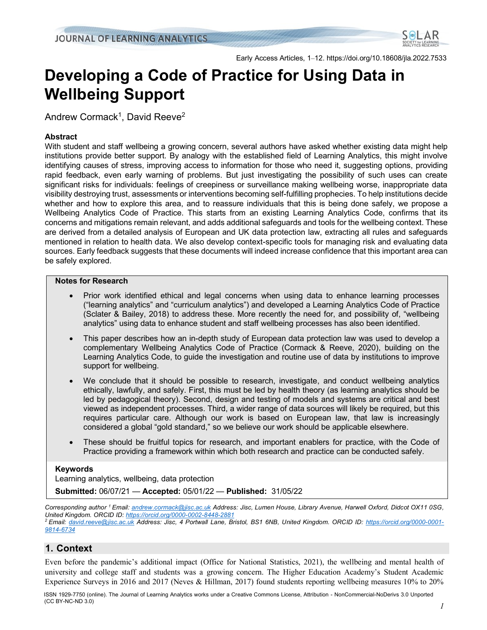

Early Access Articles, 1–12. https://doi.org/10.18608/jla.2022.7533

# **Developing a Code of Practice for Using Data in Wellbeing Support**

Andrew Cormack $^1$ , David Reeve $^2$ 

# **Abstract**

With student and staff wellbeing a growing concern, several authors have asked whether existing data might help institutions provide better support. By analogy with the established field of Learning Analytics, this might involve identifying causes of stress, improving access to information for those who need it, suggesting options, providing rapid feedback, even early warning of problems. But just investigating the possibility of such uses can create significant risks for individuals: feelings of creepiness or surveillance making wellbeing worse, inappropriate data visibility destroying trust, assessments or interventions becoming self-fulfilling prophecies. To help institutions decide whether and how to explore this area, and to reassure individuals that this is being done safely, we propose a Wellbeing Analytics Code of Practice. This starts from an existing Learning Analytics Code, confirms that its concerns and mitigations remain relevant, and adds additional safeguards and tools for the wellbeing context. These are derived from a detailed analysis of European and UK data protection law, extracting all rules and safeguards mentioned in relation to health data. We also develop context-specific tools for managing risk and evaluating data sources. Early feedback suggests that these documents will indeed increase confidence that this important area can be safely explored.

## **Notes for Research**

- Prior work identified ethical and legal concerns when using data to enhance learning processes ("learning analytics" and "curriculum analytics") and developed a Learning Analytics Code of Practice (Sclater & Bailey, 2018) to address these. More recently the need for, and possibility of, "wellbeing analytics" using data to enhance student and staff wellbeing processes has also been identified.
- This paper describes how an in-depth study of European data protection law was used to develop a complementary Wellbeing Analytics Code of Practice (Cormack & Reeve, 2020), building on the Learning Analytics Code, to guide the investigation and routine use of data by institutions to improve support for wellbeing.
- We conclude that it should be possible to research, investigate, and conduct wellbeing analytics ethically, lawfully, and safely. First, this must be led by health theory (as learning analytics should be led by pedagogical theory). Second, design and testing of models and systems are critical and best viewed as independent processes. Third, a wider range of data sources will likely be required, but this requires particular care. Although our work is based on European law, that law is increasingly considered a global "gold standard," so we believe our work should be applicable elsewhere.
- These should be fruitful topics for research, and important enablers for practice, with the Code of Practice providing a framework within which both research and practice can be conducted safely.

# **Keywords**

Learning analytics, wellbeing, data protection

**Submitted:** 06/07/21 — **Accepted:** 05/01/22 — **Published:** 31/05/22

*Corresponding author <sup>1</sup> Email[: andrew.cormack@jisc.ac.uk](mailto:andrew.cormack@jisc.ac.uk) Address: Jisc, Lumen House, Library Avenue, Harwell Oxford, Didcot OX11 0SG, United Kingdom. ORCID ID: <https://orcid.org/0000-0002-8448-2881>*

*<sup>2</sup> Email: [david.reeve@jisc.ac.uk](mailto:david.reeve@jisc.ac.uk) Address: Jisc, 4 Portwall Lane, Bristol, BS1 6NB, United Kingdom. ORCID ID: [https://orcid.org/0000-0001-](https://orcid.org/0000-0001-9814-6734) [9814-6734](https://orcid.org/0000-0001-9814-6734)*

# **1. Context**

Even before the pandemic's additional impact (Office for National Statistics, 2021), the wellbeing and mental health of university and college staff and students was a growing concern. The Higher Education Academy's Student Academic Experience Surveys in 2016 and 2017 (Neves & Hillman, 2017) found students reporting wellbeing measures 10% to 20%

ISSN 1929-7750 (online). The Journal of Learning Analytics works under a Creative Commons License, Attribution - NonCommercial-NoDerivs 3.0 Unported (CC BY-NC-ND 3.0)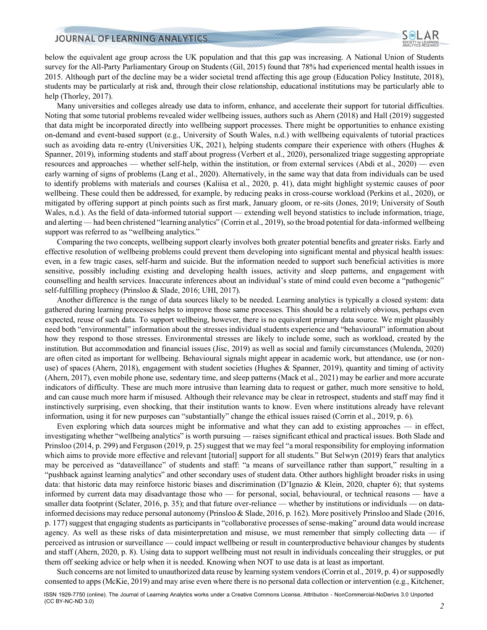

below the equivalent age group across the UK population and that this gap was increasing. A National Union of Students survey for the All-Party Parliamentary Group on Students (Gil, 2015) found that 78% had experienced mental health issues in 2015. Although part of the decline may be a wider societal trend affecting this age group (Education Policy Institute, 2018), students may be particularly at risk and, through their close relationship, educational institutions may be particularly able to help (Thorley, 2017).

Many universities and colleges already use data to inform, enhance, and accelerate their support for tutorial difficulties. Noting that some tutorial problems revealed wider wellbeing issues, authors such as Ahern (2018) and Hall (2019) suggested that data might be incorporated directly into wellbeing support processes. There might be opportunities to enhance existing on-demand and event-based support (e.g., University of South Wales, n.d.) with wellbeing equivalents of tutorial practices such as avoiding data re-entry (Universities UK, 2021), helping students compare their experience with others (Hughes & Spanner, 2019), informing students and staff about progress (Verbert et al., 2020), personalized triage suggesting appropriate resources and approaches — whether self-help, within the institution, or from external services (Abdi et al., 2020) — even early warning of signs of problems (Lang et al., 2020). Alternatively, in the same way that data from individuals can be used to identify problems with materials and courses (Kaliisa et al., 2020, p. 41), data might highlight systemic causes of poor wellbeing. These could then be addressed, for example, by reducing peaks in cross-course workload (Perkins et al., 2020), or mitigated by offering support at pinch points such as first mark, January gloom, or re-sits (Jones, 2019; University of South Wales, n.d.). As the field of data-informed tutorial support — extending well beyond statistics to include information, triage, and alerting — had been christened "learning analytics" (Corrin et al., 2019), so the broad potential for data-informed wellbeing support was referred to as "wellbeing analytics."

Comparing the two concepts, wellbeing support clearly involves both greater potential benefits and greater risks. Early and effective resolution of wellbeing problems could prevent them developing into significant mental and physical health issues: even, in a few tragic cases, self-harm and suicide. But the information needed to support such beneficial activities is more sensitive, possibly including existing and developing health issues, activity and sleep patterns, and engagement with counselling and health services. Inaccurate inferences about an individual's state of mind could even become a "pathogenic" self-fulfilling prophecy (Prinsloo & Slade, 2016; UHI, 2017).

Another difference is the range of data sources likely to be needed. Learning analytics is typically a closed system: data gathered during learning processes helps to improve those same processes. This should be a relatively obvious, perhaps even expected, reuse of such data. To support wellbeing, however, there is no equivalent primary data source. We might plausibly need both "environmental" information about the stresses individual students experience and "behavioural" information about how they respond to those stresses. Environmental stresses are likely to include some, such as workload, created by the institution. But accommodation and financial issues (Jisc, 2019) as well as social and family circumstances (Mulenda, 2020) are often cited as important for wellbeing. Behavioural signals might appear in academic work, but attendance, use (or nonuse) of spaces (Ahern, 2018), engagement with student societies (Hughes & Spanner, 2019), quantity and timing of activity (Ahern, 2017), even mobile phone use, sedentary time, and sleep patterns (Mack et al., 2021) may be earlier and more accurate indicators of difficulty. These are much more intrusive than learning data to request or gather, much more sensitive to hold, and can cause much more harm if misused. Although their relevance may be clear in retrospect, students and staff may find it instinctively surprising, even shocking, that their institution wants to know. Even where institutions already have relevant information, using it for new purposes can "substantially" change the ethical issues raised (Corrin et al., 2019, p. 6).

Even exploring which data sources might be informative and what they can add to existing approaches — in effect, investigating whether "wellbeing analytics" is worth pursuing — raises significant ethical and practical issues. Both Slade and Prinsloo (2014, p. 299) and Ferguson (2019, p. 25) suggest that we may feel "a moral responsibility for employing information which aims to provide more effective and relevant [tutorial] support for all students." But Selwyn (2019) fears that analytics may be perceived as "dataveillance" of students and staff: "a means of surveillance rather than support," resulting in a "pushback against learning analytics" and other secondary uses of student data. Other authors highlight broader risks in using data: that historic data may reinforce historic biases and discrimination (D'Ignazio & Klein, 2020, chapter 6); that systems informed by current data may disadvantage those who — for personal, social, behavioural, or technical reasons — have a smaller data footprint (Sclater, 2016, p. 35); and that future over-reliance — whether by institutions or individuals — on datainformed decisions may reduce personal autonomy (Prinsloo & Slade, 2016, p. 162). More positively Prinsloo and Slade (2016, p. 177) suggest that engaging students as participants in "collaborative processes of sense-making" around data would increase agency. As well as these risks of data misinterpretation and misuse, we must remember that simply collecting data — if perceived as intrusion or surveillance — could impact wellbeing or result in counterproductive behaviour changes by students and staff (Ahern, 2020, p. 8). Using data to support wellbeing must not result in individuals concealing their struggles, or put them off seeking advice or help when it is needed. Knowing when NOT to use data is at least as important.

Such concerns are not limited to unauthorized data reuse by learning system vendors (Corrin et al., 2019, p. 4) or supposedly consented to apps (McKie, 2019) and may arise even where there is no personal data collection or intervention (e.g., Kitchener,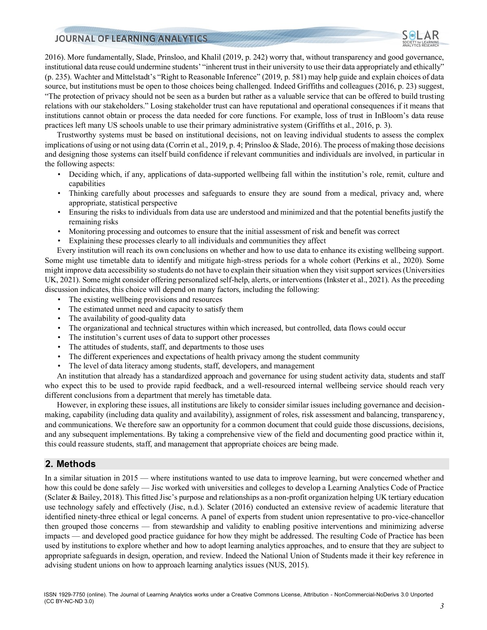

2016). More fundamentally, Slade, Prinsloo, and Khalil (2019, p. 242) worry that, without transparency and good governance, institutional data reuse could undermine students' "inherent trust in their university to use their data appropriately and ethically" (p. 235). Wachter and Mittelstadt's "Right to Reasonable Inference" (2019, p. 581) may help guide and explain choices of data source, but institutions must be open to those choices being challenged. Indeed Griffiths and colleagues (2016, p. 23) suggest, "The protection of privacy should not be seen as a burden but rather as a valuable service that can be offered to build trusting relations with our stakeholders." Losing stakeholder trust can have reputational and operational consequences if it means that institutions cannot obtain or process the data needed for core functions. For example, loss of trust in InBloom's data reuse practices left many US schools unable to use their primary administrative system (Griffiths et al., 2016, p. 3).

Trustworthy systems must be based on institutional decisions, not on leaving individual students to assess the complex implications of using or not using data (Corrin et al., 2019, p. 4; Prinsloo & Slade, 2016). The process of making those decisions and designing those systems can itself build confidence if relevant communities and individuals are involved, in particular in the following aspects:

- Deciding which, if any, applications of data-supported wellbeing fall within the institution's role, remit, culture and capabilities
- Thinking carefully about processes and safeguards to ensure they are sound from a medical, privacy and, where appropriate, statistical perspective
- Ensuring the risks to individuals from data use are understood and minimized and that the potential benefits justify the remaining risks
- Monitoring processing and outcomes to ensure that the initial assessment of risk and benefit was correct
- Explaining these processes clearly to all individuals and communities they affect

Every institution will reach its own conclusions on whether and how to use data to enhance its existing wellbeing support. Some might use timetable data to identify and mitigate high-stress periods for a whole cohort (Perkins et al., 2020). Some might improve data accessibility so students do not have to explain their situation when they visit support services (Universities UK, 2021). Some might consider offering personalized self-help, alerts, or interventions (Inkster et al., 2021). As the preceding discussion indicates, this choice will depend on many factors, including the following:

- The existing wellbeing provisions and resources
- The estimated unmet need and capacity to satisfy them
- The availability of good-quality data
- The organizational and technical structures within which increased, but controlled, data flows could occur
- The institution's current uses of data to support other processes
- The attitudes of students, staff, and departments to those uses
- The different experiences and expectations of health privacy among the student community
- The level of data literacy among students, staff, developers, and management

An institution that already has a standardized approach and governance for using student activity data, students and staff who expect this to be used to provide rapid feedback, and a well-resourced internal wellbeing service should reach very different conclusions from a department that merely has timetable data.

However, in exploring these issues, all institutions are likely to consider similar issues including governance and decisionmaking, capability (including data quality and availability), assignment of roles, risk assessment and balancing, transparency, and communications. We therefore saw an opportunity for a common document that could guide those discussions, decisions, and any subsequent implementations. By taking a comprehensive view of the field and documenting good practice within it, this could reassure students, staff, and management that appropriate choices are being made.

# **2. Methods**

In a similar situation in 2015 — where institutions wanted to use data to improve learning, but were concerned whether and how this could be done safely — Jisc worked with universities and colleges to develop a Learning Analytics Code of Practice (Sclater & Bailey, 2018). This fitted Jisc's purpose and relationships as a non-profit organization helping UK tertiary education use technology safely and effectively (Jisc, n.d.). Sclater (2016) conducted an extensive review of academic literature that identified ninety-three ethical or legal concerns. A panel of experts from student union representative to pro-vice-chancellor then grouped those concerns — from stewardship and validity to enabling positive interventions and minimizing adverse impacts — and developed good practice guidance for how they might be addressed. The resulting Code of Practice has been used by institutions to explore whether and how to adopt learning analytics approaches, and to ensure that they are subject to appropriate safeguards in design, operation, and review. Indeed the National Union of Students made it their key reference in advising student unions on how to approach learning analytics issues (NUS, 2015).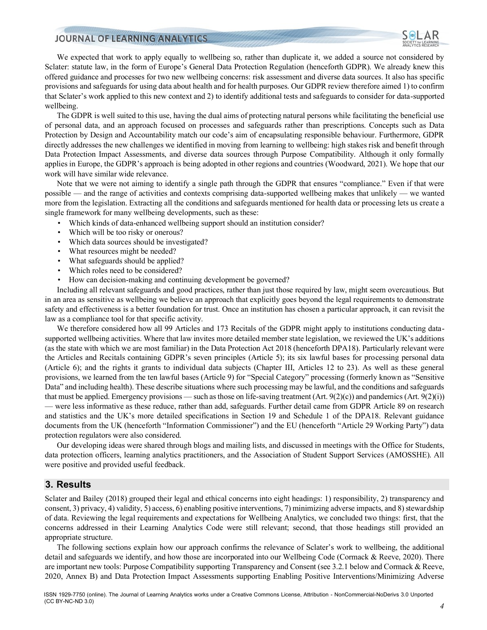

We expected that work to apply equally to wellbeing so, rather than duplicate it, we added a source not considered by Sclater: statute law, in the form of Europe's General Data Protection Regulation (henceforth GDPR). We already knew this offered guidance and processes for two new wellbeing concerns: risk assessment and diverse data sources. It also has specific provisions and safeguards for using data about health and for health purposes. Our GDPR review therefore aimed 1) to confirm that Sclater's work applied to this new context and 2) to identify additional tests and safeguards to consider for data-supported wellbeing.

The GDPR is well suited to this use, having the dual aims of protecting natural persons while facilitating the beneficial use of personal data, and an approach focused on processes and safeguards rather than prescriptions. Concepts such as Data Protection by Design and Accountability match our code's aim of encapsulating responsible behaviour. Furthermore, GDPR directly addresses the new challenges we identified in moving from learning to wellbeing: high stakes risk and benefit through Data Protection Impact Assessments, and diverse data sources through Purpose Compatibility. Although it only formally applies in Europe, the GDPR's approach is being adopted in other regions and countries (Woodward, 2021). We hope that our work will have similar wide relevance.

Note that we were not aiming to identify a single path through the GDPR that ensures "compliance." Even if that were possible — and the range of activities and contexts comprising data-supported wellbeing makes that unlikely — we wanted more from the legislation. Extracting all the conditions and safeguards mentioned for health data or processing lets us create a single framework for many wellbeing developments, such as these:

- Which kinds of data-enhanced wellbeing support should an institution consider?
- Which will be too risky or onerous?
- Which data sources should be investigated?
- What resources might be needed?
- What safeguards should be applied?
- Which roles need to be considered?
- How can decision-making and continuing development be governed?

Including all relevant safeguards and good practices, rather than just those required by law, might seem overcautious. But in an area as sensitive as wellbeing we believe an approach that explicitly goes beyond the legal requirements to demonstrate safety and effectiveness is a better foundation for trust. Once an institution has chosen a particular approach, it can revisit the law as a compliance tool for that specific activity.

We therefore considered how all 99 Articles and 173 Recitals of the GDPR might apply to institutions conducting datasupported wellbeing activities. Where that law invites more detailed member state legislation, we reviewed the UK's additions (as the state with which we are most familiar) in the Data Protection Act 2018 (henceforth DPA18). Particularly relevant were the Articles and Recitals containing GDPR's seven principles (Article 5); its six lawful bases for processing personal data (Article 6); and the rights it grants to individual data subjects (Chapter III, Articles 12 to 23). As well as these general provisions, we learned from the ten lawful bases (Article 9) for "Special Category" processing (formerly known as "Sensitive Data" and including health). These describe situations where such processing may be lawful, and the conditions and safeguards that must be applied. Emergency provisions — such as those on life-saving treatment  $(Art. 9(2)(c))$  and pandemics  $(Art. 9(2)(i))$ — were less informative as these reduce, rather than add, safeguards. Further detail came from GDPR Article 89 on research and statistics and the UK's more detailed specifications in Section 19 and Schedule 1 of the DPA18. Relevant guidance documents from the UK (henceforth "Information Commissioner") and the EU (henceforth "Article 29 Working Party") data protection regulators were also considered.

Our developing ideas were shared through blogs and mailing lists, and discussed in meetings with the Office for Students, data protection officers, learning analytics practitioners, and the Association of Student Support Services (AMOSSHE). All were positive and provided useful feedback.

## **3. Results**

Sclater and Bailey (2018) grouped their legal and ethical concerns into eight headings: 1) responsibility, 2) transparency and consent, 3) privacy, 4) validity, 5) access, 6) enabling positive interventions, 7) minimizing adverse impacts, and 8) stewardship of data. Reviewing the legal requirements and expectations for Wellbeing Analytics, we concluded two things: first, that the concerns addressed in their Learning Analytics Code were still relevant; second, that those headings still provided an appropriate structure.

The following sections explain how our approach confirms the relevance of Sclater's work to wellbeing, the additional detail and safeguards we identify, and how those are incorporated into our Wellbeing Code (Cormack & Reeve, 2020). There are important new tools: Purpose Compatibility supporting Transparency and Consent (see 3.2.1 below and Cormack & Reeve, 2020, Annex B) and Data Protection Impact Assessments supporting Enabling Positive Interventions/Minimizing Adverse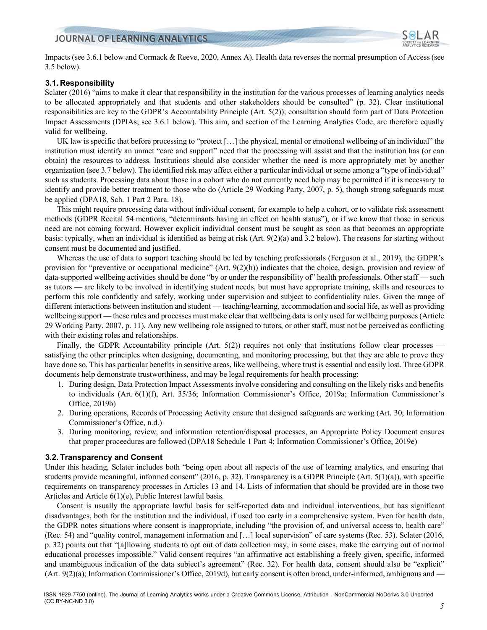

Impacts (see 3.6.1 below and Cormack & Reeve, 2020, Annex A). Health data reverses the normal presumption of Access (see 3.5 below).

# **3.1. Responsibility**

Sclater (2016) "aims to make it clear that responsibility in the institution for the various processes of learning analytics needs to be allocated appropriately and that students and other stakeholders should be consulted" (p. 32). Clear institutional responsibilities are key to the GDPR's Accountability Principle (Art. 5(2)); consultation should form part of Data Protection Impact Assessments (DPIAs; see 3.6.1 below). This aim, and section of the Learning Analytics Code, are therefore equally valid for wellbeing.

UK law is specific that before processing to "protect […] the physical, mental or emotional wellbeing of an individual" the institution must identify an unmet "care and support" need that the processing will assist and that the institution has (or can obtain) the resources to address. Institutions should also consider whether the need is more appropriately met by another organization (see 3.7 below). The identified risk may affect either a particular individual or some among a "type of individual" such as students. Processing data about those in a cohort who do not currently need help may be permitted if it is necessary to identify and provide better treatment to those who do (Article 29 Working Party, 2007, p. 5), though strong safeguards must be applied (DPA18, Sch. 1 Part 2 Para. 18).

This might require processing data without individual consent, for example to help a cohort, or to validate risk assessment methods (GDPR Recital 54 mentions, "determinants having an effect on health status"), or if we know that those in serious need are not coming forward. However explicit individual consent must be sought as soon as that becomes an appropriate basis: typically, when an individual is identified as being at risk (Art. 9(2)(a) and 3.2 below). The reasons for starting without consent must be documented and justified.

Whereas the use of data to support teaching should be led by teaching professionals (Ferguson et al., 2019), the GDPR's provision for "preventive or occupational medicine" (Art. 9(2)(h)) indicates that the choice, design, provision and review of data-supported wellbeing activities should be done "by or under the responsibility of" health professionals. Other staff — such as tutors — are likely to be involved in identifying student needs, but must have appropriate training, skills and resources to perform this role confidently and safely, working under supervision and subject to confidentiality rules. Given the range of different interactions between institution and student — teaching/learning, accommodation and social life, as well as providing wellbeing support — these rules and processes must make clear that wellbeing data is only used for wellbeing purposes (Article 29 Working Party, 2007, p. 11). Any new wellbeing role assigned to tutors, or other staff, must not be perceived as conflicting with their existing roles and relationships.

Finally, the GDPR Accountability principle (Art. 5(2)) requires not only that institutions follow clear processes satisfying the other principles when designing, documenting, and monitoring processing, but that they are able to prove they have done so. This has particular benefits in sensitive areas, like wellbeing, where trust is essential and easily lost. Three GDPR documents help demonstrate trustworthiness, and may be legal requirements for health processing:

- 1. During design, Data Protection Impact Assessments involve considering and consulting on the likely risks and benefits to individuals (Art. 6(1)(f), Art. 35/36; Information Commissioner's Office, 2019a; Information Commissioner's Office, 2019b)
- 2. During operations, Records of Processing Activity ensure that designed safeguards are working (Art. 30; Information Commissioner's Office, n.d.)
- 3. During monitoring, review, and information retention/disposal processes, an Appropriate Policy Document ensures that proper proceedures are followed (DPA18 Schedule 1 Part 4; Information Commissioner's Office, 2019e)

# **3.2. Transparency and Consent**

Under this heading, Sclater includes both "being open about all aspects of the use of learning analytics, and ensuring that students provide meaningful, informed consent" (2016, p. 32). Transparency is a GDPR Principle (Art. 5(1)(a)), with specific requirements on transparency processes in Articles 13 and 14. Lists of information that should be provided are in those two Articles and Article 6(1)(e), Public Interest lawful basis.

Consent is usually the appropriate lawful basis for self-reported data and individual interventions, but has significant disadvantages, both for the institution and the individual, if used too early in a comprehensive system. Even for health data, the GDPR notes situations where consent is inappropriate, including "the provision of, and universal access to, health care" (Rec. 54) and "quality control, management information and […] local supervision" of care systems (Rec. 53). Sclater (2016, p. 32) points out that "[a]llowing students to opt out of data collection may, in some cases, make the carrying out of normal educational processes impossible." Valid consent requires "an affirmative act establishing a freely given, specific, informed and unambiguous indication of the data subject's agreement" (Rec. 32). For health data, consent should also be "explicit" (Art. 9(2)(a); Information Commissioner's Office, 2019d), but early consent is often broad, under-informed, ambiguous and —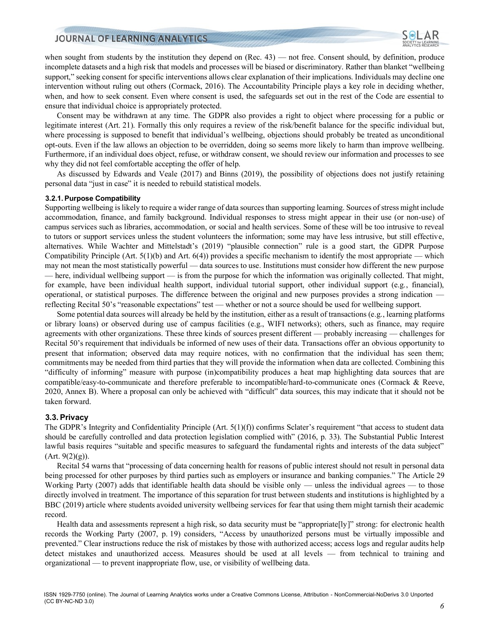

when sought from students by the institution they depend on (Rec. 43) — not free. Consent should, by definition, produce incomplete datasets and a high risk that models and processes will be biased or discriminatory. Rather than blanket "wellbeing support," seeking consent for specific interventions allows clear explanation of their implications. Individuals may decline one intervention without ruling out others (Cormack, 2016). The Accountability Principle plays a key role in deciding whether, when, and how to seek consent. Even where consent is used, the safeguards set out in the rest of the Code are essential to ensure that individual choice is appropriately protected.

Consent may be withdrawn at any time. The GDPR also provides a right to object where processing for a public or legitimate interest (Art. 21). Formally this only requires a review of the risk/benefit balance for the specific individual but, where processing is supposed to benefit that individual's wellbeing, objections should probably be treated as unconditional opt-outs. Even if the law allows an objection to be overridden, doing so seems more likely to harm than improve wellbeing. Furthermore, if an individual does object, refuse, or withdraw consent, we should review our information and processes to see why they did not feel comfortable accepting the offer of help.

As discussed by Edwards and Veale (2017) and Binns (2019), the possibility of objections does not justify retaining personal data "just in case" it is needed to rebuild statistical models.

#### **3.2.1. Purpose Compatibility**

Supporting wellbeing is likely to require a wider range of data sources than supporting learning. Sources of stress might include accommodation, finance, and family background. Individual responses to stress might appear in their use (or non-use) of campus services such as libraries, accommodation, or social and health services. Some of these will be too intrusive to reveal to tutors or support services unless the student volunteers the information; some may have less intrusive, but still effective, alternatives. While Wachter and Mittelstadt's (2019) "plausible connection" rule is a good start, the GDPR Purpose Compatibility Principle (Art.  $5(1)(b)$  and Art.  $6(4)$ ) provides a specific mechanism to identify the most appropriate — which may not mean the most statistically powerful — data sources to use. Institutions must consider how different the new purpose — here, individual wellbeing support — is from the purpose for which the information was originally collected. That might, for example, have been individual health support, individual tutorial support, other individual support (e.g., financial), operational, or statistical purposes. The difference between the original and new purposes provides a strong indication reflecting Recital 50's "reasonable expectations" test — whether or not a source should be used for wellbeing support.

Some potential data sources will already be held by the institution, either as a result of transactions (e.g., learning platforms or library loans) or observed during use of campus facilities (e.g., WIFI networks); others, such as finance, may require agreements with other organizations. These three kinds of sources present different — probably increasing — challenges for Recital 50's requirement that individuals be informed of new uses of their data. Transactions offer an obvious opportunity to present that information; observed data may require notices, with no confirmation that the individual has seen them; commitments may be needed from third parties that they will provide the information when data are collected. Combining this "difficulty of informing" measure with purpose (in)compatibility produces a heat map highlighting data sources that are compatible/easy-to-communicate and therefore preferable to incompatible/hard-to-communicate ones (Cormack & Reeve, 2020, Annex B). Where a proposal can only be achieved with "difficult" data sources, this may indicate that it should not be taken forward.

#### **3.3. Privacy**

The GDPR's Integrity and Confidentiality Principle  $(Art. 5(1)(f))$  confirms Sclater's requirement "that access to student data should be carefully controlled and data protection legislation complied with" (2016, p. 33). The Substantial Public Interest lawful basis requires "suitable and specific measures to safeguard the fundamental rights and interests of the data subject" (Art. 9(2)(g)).

Recital 54 warns that "processing of data concerning health for reasons of public interest should not result in personal data being processed for other purposes by third parties such as employers or insurance and banking companies." The Article 29 Working Party (2007) adds that identifiable health data should be visible only — unless the individual agrees — to those directly involved in treatment. The importance of this separation for trust between students and institutions is highlighted by a BBC (2019) article where students avoided university wellbeing services for fear that using them might tarnish their academic record.

Health data and assessments represent a high risk, so data security must be "appropriate[ly]" strong: for electronic health records the Working Party (2007, p. 19) considers, "Access by unauthorized persons must be virtually impossible and prevented." Clear instructions reduce the risk of mistakes by those with authorized access; access logs and regular audits help detect mistakes and unauthorized access. Measures should be used at all levels — from technical to training and organizational — to prevent inappropriate flow, use, or visibility of wellbeing data.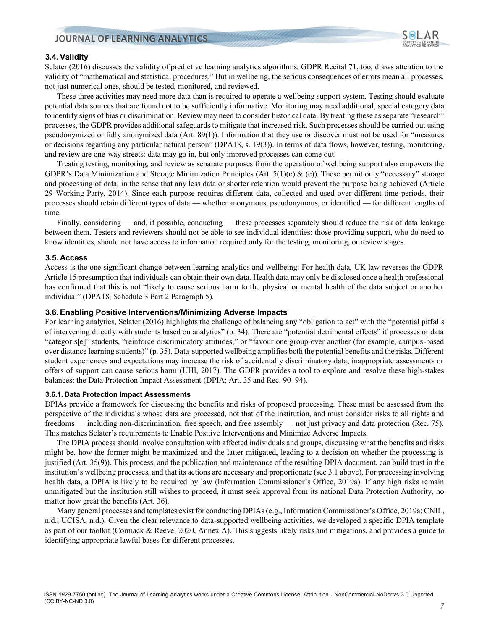

## **3.4. Validity**

Sclater (2016) discusses the validity of predictive learning analytics algorithms. GDPR Recital 71, too, draws attention to the validity of "mathematical and statistical procedures." But in wellbeing, the serious consequences of errors mean all processes, not just numerical ones, should be tested, monitored, and reviewed.

These three activities may need more data than is required to operate a wellbeing support system. Testing should evaluate potential data sources that are found not to be sufficiently informative. Monitoring may need additional, special category data to identify signs of bias or discrimination. Review may need to consider historical data. By treating these as separate "research" processes, the GDPR provides additional safeguards to mitigate that increased risk. Such processes should be carried out using pseudonymized or fully anonymized data (Art. 89(1)). Information that they use or discover must not be used for "measures or decisions regarding any particular natural person" (DPA18, s. 19(3)). In terms of data flows, however, testing, monitoring, and review are one-way streets: data may go in, but only improved processes can come out.

Treating testing, monitoring, and review as separate purposes from the operation of wellbeing support also empowers the GDPR's Data Minimization and Storage Minimization Principles (Art.  $5(1)(c)$  & (e)). These permit only "necessary" storage and processing of data, in the sense that any less data or shorter retention would prevent the purpose being achieved (Article 29 Working Party, 2014). Since each purpose requires different data, collected and used over different time periods, their processes should retain different types of data — whether anonymous, pseudonymous, or identified — for different lengths of time.

Finally, considering — and, if possible, conducting — these processes separately should reduce the risk of data leakage between them. Testers and reviewers should not be able to see individual identities: those providing support, who do need to know identities, should not have access to information required only for the testing, monitoring, or review stages.

## **3.5. Access**

Access is the one significant change between learning analytics and wellbeing. For health data, UK law reverses the GDPR Article 15 presumption that individuals can obtain their own data. Health data may only be disclosed once a health professional has confirmed that this is not "likely to cause serious harm to the physical or mental health of the data subject or another individual" (DPA18, Schedule 3 Part 2 Paragraph 5).

### **3.6. Enabling Positive Interventions/Minimizing Adverse Impacts**

For learning analytics, Sclater (2016) highlights the challenge of balancing any "obligation to act" with the "potential pitfalls of intervening directly with students based on analytics" (p. 34). There are "potential detrimental effects" if processes or data "categoris[e]" students, "reinforce discriminatory attitudes," or "favour one group over another (for example, campus-based over distance learning students)" (p. 35). Data-supported wellbeing amplifies both the potential benefits and the risks. Different student experiences and expectations may increase the risk of accidentally discriminatory data; inappropriate assessments or offers of support can cause serious harm (UHI, 2017). The GDPR provides a tool to explore and resolve these high-stakes balances: the Data Protection Impact Assessment (DPIA; Art. 35 and Rec. 90–94).

#### **3.6.1. Data Protection Impact Assessments**

DPIAs provide a framework for discussing the benefits and risks of proposed processing. These must be assessed from the perspective of the individuals whose data are processed, not that of the institution, and must consider risks to all rights and freedoms — including non-discrimination, free speech, and free assembly — not just privacy and data protection (Rec. 75). This matches Sclater's requirements to Enable Positive Interventions and Minimize Adverse Impacts.

The DPIA process should involve consultation with affected individuals and groups, discussing what the benefits and risks might be, how the former might be maximized and the latter mitigated, leading to a decision on whether the processing is justified (Art. 35(9)). This process, and the publication and maintenance of the resulting DPIA document, can build trust in the institution's wellbeing processes, and that its actions are necessary and proportionate (see 3.1 above). For processing involving health data, a DPIA is likely to be required by law (Information Commissioner's Office, 2019a). If any high risks remain unmitigated but the institution still wishes to proceed, it must seek approval from its national Data Protection Authority, no matter how great the benefits (Art. 36).

Many general processes and templates exist for conducting DPIAs (e.g., Information Commissioner's Office, 2019a; CNIL, n.d.; UCISA, n.d.). Given the clear relevance to data-supported wellbeing activities, we developed a specific DPIA template as part of our toolkit (Cormack & Reeve, 2020, Annex A). This suggests likely risks and mitigations, and provides a guide to identifying appropriate lawful bases for different processes.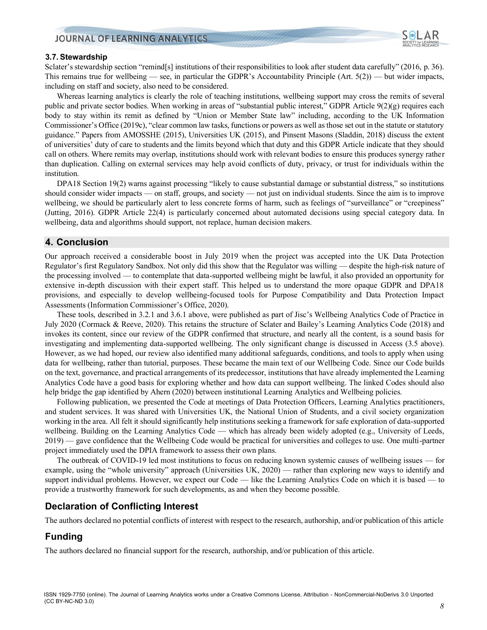

## **3.7. Stewardship**

Sclater's stewardship section "remind[s] institutions of their responsibilities to look after student data carefully" (2016, p. 36). This remains true for wellbeing — see, in particular the GDPR's Accountability Principle (Art.  $5(2)$ ) — but wider impacts, including on staff and society, also need to be considered.

Whereas learning analytics is clearly the role of teaching institutions, wellbeing support may cross the remits of several public and private sector bodies. When working in areas of "substantial public interest," GDPR Article  $9(2)(g)$  requires each body to stay within its remit as defined by "Union or Member State law" including, according to the UK Information Commissioner's Office (2019c), "clear common law tasks, functions or powers as well as those set out in the statute or statutory guidance." Papers from AMOSSHE (2015), Universities UK (2015), and Pinsent Masons (Sladdin, 2018) discuss the extent of universities' duty of care to students and the limits beyond which that duty and this GDPR Article indicate that they should call on others. Where remits may overlap, institutions should work with relevant bodies to ensure this produces synergy rather than duplication. Calling on external services may help avoid conflicts of duty, privacy, or trust for individuals within the institution.

DPA18 Section 19(2) warns against processing "likely to cause substantial damage or substantial distress," so institutions should consider wider impacts — on staff, groups, and society — not just on individual students. Since the aim is to improve wellbeing, we should be particularly alert to less concrete forms of harm, such as feelings of "surveillance" or "creepiness" (Jutting, 2016). GDPR Article 22(4) is particularly concerned about automated decisions using special category data. In wellbeing, data and algorithms should support, not replace, human decision makers.

# **4. Conclusion**

Our approach received a considerable boost in July 2019 when the project was accepted into the UK Data Protection Regulator's first Regulatory Sandbox. Not only did this show that the Regulator was willing — despite the high-risk nature of the processing involved — to contemplate that data-supported wellbeing might be lawful, it also provided an opportunity for extensive in-depth discussion with their expert staff. This helped us to understand the more opaque GDPR and DPA18 provisions, and especially to develop wellbeing-focused tools for Purpose Compatibility and Data Protection Impact Assessments (Information Commissioner's Office, 2020).

These tools, described in 3.2.1 and 3.6.1 above, were published as part of Jisc's Wellbeing Analytics Code of Practice in July 2020 (Cormack & Reeve, 2020). This retains the structure of Sclater and Bailey's Learning Analytics Code (2018) and invokes its content, since our review of the GDPR confirmed that structure, and nearly all the content, is a sound basis for investigating and implementing data-supported wellbeing. The only significant change is discussed in Access (3.5 above). However, as we had hoped, our review also identified many additional safeguards, conditions, and tools to apply when using data for wellbeing, rather than tutorial, purposes. These became the main text of our Wellbeing Code. Since our Code builds on the text, governance, and practical arrangements of its predecessor, institutions that have already implemented the Learning Analytics Code have a good basis for exploring whether and how data can support wellbeing. The linked Codes should also help bridge the gap identified by Ahern (2020) between institutional Learning Analytics and Wellbeing policies.

Following publication, we presented the Code at meetings of Data Protection Officers, Learning Analytics practitioners, and student services. It was shared with Universities UK, the National Union of Students, and a civil society organization working in the area. All felt it should significantly help institutions seeking a framework for safe exploration of data-supported wellbeing. Building on the Learning Analytics Code — which has already been widely adopted (e.g., University of Leeds, 2019) — gave confidence that the Wellbeing Code would be practical for universities and colleges to use. One multi-partner project immediately used the DPIA framework to assess their own plans.

The outbreak of COVID-19 led most institutions to focus on reducing known systemic causes of wellbeing issues — for example, using the "whole university" approach (Universities UK, 2020) — rather than exploring new ways to identify and support individual problems. However, we expect our Code — like the Learning Analytics Code on which it is based — to provide a trustworthy framework for such developments, as and when they become possible.

# **Declaration of Conflicting Interest**

The authors declared no potential conflicts of interest with respect to the research, authorship, and/or publication of this article

# **Funding**

The authors declared no financial support for the research, authorship, and/or publication of this article.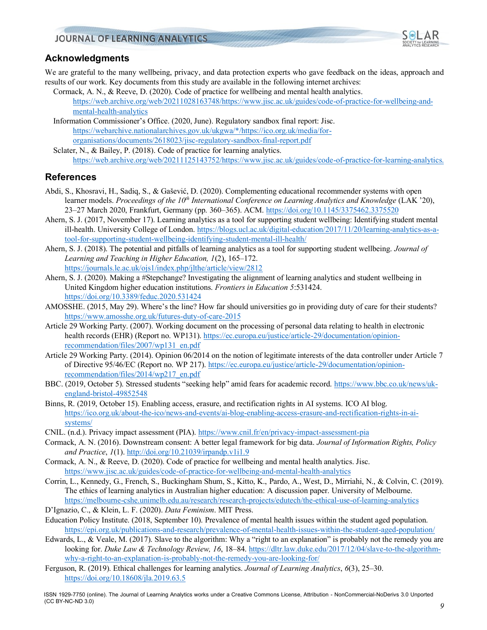

# **Acknowledgments**

We are grateful to the many wellbeing, privacy, and data protection experts who gave feedback on the ideas, approach and results of our work. Key documents from this study are available in the following internet archives:

- Cormack, A. N., & Reeve, D. (2020). Code of practice for wellbeing and mental health analytics. [https://web.archive.org/web/20211028163748/https://www.jisc.ac.uk/guides/code-of-practice-for-wellbeing-and](https://web.archive.org/web/20211028163748/https:/www.jisc.ac.uk/guides/code-of-practice-for-wellbeing-and-mental-health-analytics)[mental-health-analytics](https://web.archive.org/web/20211028163748/https:/www.jisc.ac.uk/guides/code-of-practice-for-wellbeing-and-mental-health-analytics)
- Information Commissioner's Office. (2020, June). Regulatory sandbox final report: Jisc. [https://webarchive.nationalarchives.gov.uk/ukgwa/\\*/https://ico.org.uk/media/for](https://webarchive.nationalarchives.gov.uk/ukgwa/*/https:/ico.org.uk/media/for-organisations/documents/2618023/jisc-regulatory-sandbox-final-report.pdf)[organisations/documents/2618023/jisc-regulatory-sandbox-final-report.pdf](https://webarchive.nationalarchives.gov.uk/ukgwa/*/https:/ico.org.uk/media/for-organisations/documents/2618023/jisc-regulatory-sandbox-final-report.pdf)
- Sclater, N., & Bailey, P. (2018). Code of practice for learning analytics. [https://web.archive.org/web/20211125143752/https://www.jisc.ac.uk/guides/code-of-practice-for-learning-analytics.](https://web.archive.org/web/20211125143752/https:/www.jisc.ac.uk/guides/code-of-practice-for-learning-analytics.)

# **References**

- Abdi, S., Khosravi, H., Sadiq, S., & Gašević, D. (2020). Complementing educational recommender systems with open learner models. *Proceedings of the 10th International Conference on Learning Analytics and Knowledge* (LAK '20), 23–27 March 2020, Frankfurt, Germany (pp. 360–365). ACM.<https://doi.org/10.1145/3375462.3375520>
- Ahern, S. J. (2017, November 17). Learning analytics as a tool for supporting student wellbeing: Identifying student mental ill-health. University College of London. [https://blogs.ucl.ac.uk/digital-education/2017/11/20/learning-analytics-as-a](https://blogs.ucl.ac.uk/digital-education/2017/11/20/learning-analytics-as-a-tool-for-supporting-student-wellbeing-identifying-student-mental-ill-health/)[tool-for-supporting-student-wellbeing-identifying-student-mental-ill-health/](https://blogs.ucl.ac.uk/digital-education/2017/11/20/learning-analytics-as-a-tool-for-supporting-student-wellbeing-identifying-student-mental-ill-health/)
- Ahern, S. J. (2018). The potential and pitfalls of learning analytics as a tool for supporting student wellbeing. *Journal of Learning and Teaching in Higher Education, 1*(2), 165–172. <https://journals.le.ac.uk/ojs1/index.php/jlthe/article/view/2812>
- Ahern, S. J. (2020). Making a #Stepchange? Investigating the alignment of learning analytics and student wellbeing in United Kingdom higher education institutions. *Frontiers in Education 5*:531424. <https://doi.org/10.3389/feduc.2020.531424>
- AMOSSHE. (2015, May 29). Where's the line? How far should universities go in providing duty of care for their students? <https://www.amosshe.org.uk/futures-duty-of-care-2015>
- Article 29 Working Party. (2007). Working document on the processing of personal data relating to health in electronic health records (EHR) (Report no. WP131). [https://ec.europa.eu/justice/article-29/documentation/opinion](https://ec.europa.eu/justice/article-29/documentation/opinion-recommendation/files/2007/wp131_en.pdf)[recommendation/files/2007/wp131\\_en.pdf](https://ec.europa.eu/justice/article-29/documentation/opinion-recommendation/files/2007/wp131_en.pdf)
- Article 29 Working Party. (2014). Opinion 06/2014 on the notion of legitimate interests of the data controller under Article 7 of Directive 95/46/EC (Report no. WP 217)[. https://ec.europa.eu/justice/article-29/documentation/opinion](https://ec.europa.eu/justice/article-29/documentation/opinion-recommendation/files/2014/wp217_en.pdf)[recommendation/files/2014/wp217\\_en.pdf](https://ec.europa.eu/justice/article-29/documentation/opinion-recommendation/files/2014/wp217_en.pdf)
- BBC. (2019, October 5). Stressed students "seeking help" amid fears for academic record. [https://www.bbc.co.uk/news/uk](https://www.bbc.co.uk/news/uk-england-bristol-49852548)[england-bristol-49852548](https://www.bbc.co.uk/news/uk-england-bristol-49852548)
- Binns, R. (2019, October 15). Enabling access, erasure, and rectification rights in AI systems. ICO AI blog. [https://ico.org.uk/about-the-ico/news-and-events/ai-blog-enabling-access-erasure-and-rectification-rights-in-ai](https://ico.org.uk/about-the-ico/news-and-events/ai-blog-enabling-access-erasure-and-rectification-rights-in-ai-systems/)[systems/](https://ico.org.uk/about-the-ico/news-and-events/ai-blog-enabling-access-erasure-and-rectification-rights-in-ai-systems/)
- CNIL. (n.d.). Privacy impact assessment (PIA).<https://www.cnil.fr/en/privacy-impact-assessment-pia>
- Cormack, A. N. (2016). Downstream consent: A better legal framework for big data. *Journal of Information Rights, Policy and Practice*, *1*(1)[. http://doi.org/10.21039/irpandp.v1i1.9](http://doi.org/10.21039/irpandp.v1i1.9)
- Cormack, A. N., & Reeve, D. (2020). Code of practice for wellbeing and mental health analytics. Jisc. <https://www.jisc.ac.uk/guides/code-of-practice-for-wellbeing-and-mental-health-analytics>
- Corrin, L., Kennedy, G., French, S., Buckingham Shum, S., Kitto, K., Pardo, A., West, D., Mirriahi, N., & Colvin, C. (2019). The ethics of learning analytics in Australian higher education: A discussion paper. University of Melbourne. <https://melbourne-cshe.unimelb.edu.au/research/research-projects/edutech/the-ethical-use-of-learning-analytics>
- D'Ignazio, C., & Klein, L. F. (2020). *Data Feminism*. MIT Press.
- Education Policy Institute. (2018, September 10). Prevalence of mental health issues within the student aged population. <https://epi.org.uk/publications-and-research/prevalence-of-mental-health-issues-within-the-student-aged-population/>
- Edwards, L., & Veale, M. (2017). Slave to the algorithm: Why a "right to an explanation" is probably not the remedy you are looking for. *Duke Law & Technology Review, 16*, 18–84[. https://dltr.law.duke.edu/2017/12/04/slave-to-the-algorithm](https://dltr.law.duke.edu/2017/12/04/slave-to-the-algorithm-why-a-right-to-an-explanation-is-probably-not-the-remedy-you-are-looking-for/)[why-a-right-to-an-explanation-is-probably-not-the-remedy-you-are-looking-for/](https://dltr.law.duke.edu/2017/12/04/slave-to-the-algorithm-why-a-right-to-an-explanation-is-probably-not-the-remedy-you-are-looking-for/)
- Ferguson, R. (2019). Ethical challenges for learning analytics. *Journal of Learning Analytics*, *6*(3), 25–30. <https://doi.org/10.18608/jla.2019.63.5>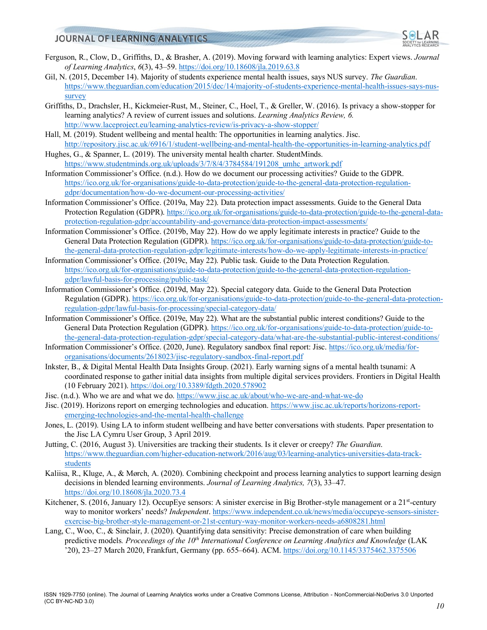

- Ferguson, R., Clow, D., Griffiths, D., & Brasher, A. (2019). Moving forward with learning analytics: Expert views. *Journal of Learning Analytics*, *6*(3), 43–59[. https://doi.org/10.18608/jla.2019.63.8](https://doi.org/10.18608/jla.2019.63.8)
- Gil, N. (2015, December 14). Majority of students experience mental health issues, says NUS survey. *The Guardian*. [https://www.theguardian.com/education/2015/dec/14/majority-of-students-experience-mental-health-issues-says-nus](https://www.theguardian.com/education/2015/dec/14/majority-of-students-experience-mental-health-issues-says-nus-survey)[survey](https://www.theguardian.com/education/2015/dec/14/majority-of-students-experience-mental-health-issues-says-nus-survey)
- Griffiths, D., Drachsler, H., Kickmeier-Rust, M., Steiner, C., Hoel, T., & Greller, W. (2016). Is privacy a show-stopper for learning analytics? A review of current issues and solutions. *Learning Analytics Review, 6.* <http://www.laceproject.eu/learning-analytics-review/is-privacy-a-show-stopper/>
- Hall, M. (2019). Student wellbeing and mental health: The opportunities in learning analytics. Jisc. <http://repository.jisc.ac.uk/6916/1/student-wellbeing-and-mental-health-the-opportunities-in-learning-analytics.pdf>
- Hughes, G., & Spanner, L. (2019). The university mental health charter. StudentMinds. [https://www.studentminds.org.uk/uploads/3/7/8/4/3784584/191208\\_umhc\\_artwork.pdf](https://www.studentminds.org.uk/uploads/3/7/8/4/3784584/191208_umhc_artwork.pdf)
- Information Commissioner's Office. (n.d.). How do we document our processing activities? Guide to the GDPR. [https://ico.org.uk/for-organisations/guide-to-data-protection/guide-to-the-general-data-protection-regulation](https://ico.org.uk/for-organisations/guide-to-data-protection/guide-to-the-general-data-protection-regulation-gdpr/documentation/how-do-we-document-our-processing-activities/)[gdpr/documentation/how-do-we-document-our-processing-activities/](https://ico.org.uk/for-organisations/guide-to-data-protection/guide-to-the-general-data-protection-regulation-gdpr/documentation/how-do-we-document-our-processing-activities/)
- Information Commissioner's Office. (2019a, May 22). Data protection impact assessments. Guide to the General Data Protection Regulation (GDPR)[. https://ico.org.uk/for-organisations/guide-to-data-protection/guide-to-the-general-data](https://ico.org.uk/for-organisations/guide-to-data-protection/guide-to-the-general-data-protection-regulation-gdpr/accountability-and-governance/data-protection-impact-assessments/)[protection-regulation-gdpr/accountability-and-governance/data-protection-impact-assessments/](https://ico.org.uk/for-organisations/guide-to-data-protection/guide-to-the-general-data-protection-regulation-gdpr/accountability-and-governance/data-protection-impact-assessments/)
- Information Commissioner's Office. (2019b, May 22). How do we apply legitimate interests in practice? Guide to the General Data Protection Regulation (GDPR). [https://ico.org.uk/for-organisations/guide-to-data-protection/guide-to](https://ico.org.uk/for-organisations/guide-to-data-protection/guide-to-the-general-data-protection-regulation-gdpr/legitimate-interests/how-do-we-apply-legitimate-interests-in-practice/)[the-general-data-protection-regulation-gdpr/legitimate-interests/how-do-we-apply-legitimate-interests-in-practice/](https://ico.org.uk/for-organisations/guide-to-data-protection/guide-to-the-general-data-protection-regulation-gdpr/legitimate-interests/how-do-we-apply-legitimate-interests-in-practice/)
- Information Commissioner's Office. (2019c, May 22). Public task. Guide to the Data Protection Regulation. [https://ico.org.uk/for-organisations/guide-to-data-protection/guide-to-the-general-data-protection-regulation](https://ico.org.uk/for-organisations/guide-to-data-protection/guide-to-the-general-data-protection-regulation-gdpr/lawful-basis-for-processing/public-task/)[gdpr/lawful-basis-for-processing/public-task/](https://ico.org.uk/for-organisations/guide-to-data-protection/guide-to-the-general-data-protection-regulation-gdpr/lawful-basis-for-processing/public-task/)
- Information Commissioner's Office. (2019d, May 22). Special category data. Guide to the General Data Protection Regulation (GDPR). [https://ico.org.uk/for-organisations/guide-to-data-protection/guide-to-the-general-data-protection](https://ico.org.uk/for-organisations/guide-to-data-protection/guide-to-the-general-data-protection-regulation-gdpr/lawful-basis-for-processing/special-category-data/)[regulation-gdpr/lawful-basis-for-processing/special-category-data/](https://ico.org.uk/for-organisations/guide-to-data-protection/guide-to-the-general-data-protection-regulation-gdpr/lawful-basis-for-processing/special-category-data/)
- Information Commissioner's Office. (2019e, May 22). What are the substantial public interest conditions? Guide to the General Data Protection Regulation (GDPR). [https://ico.org.uk/for-organisations/guide-to-data-protection/guide-to](https://ico.org.uk/for-organisations/guide-to-data-protection/guide-to-the-general-data-protection-regulation-gdpr/special-category-data/what-are-the-substantial-public-interest-conditions/)[the-general-data-protection-regulation-gdpr/special-category-data/what-are-the-substantial-public-interest-conditions/](https://ico.org.uk/for-organisations/guide-to-data-protection/guide-to-the-general-data-protection-regulation-gdpr/special-category-data/what-are-the-substantial-public-interest-conditions/)
- Information Commissioner's Office. (2020, June). Regulatory sandbox final report: Jisc[. https://ico.org.uk/media/for](https://ico.org.uk/media/for-organisations/documents/2618023/jisc-regulatory-sandbox-final-report.pdf)[organisations/documents/2618023/jisc-regulatory-sandbox-final-report.pdf](https://ico.org.uk/media/for-organisations/documents/2618023/jisc-regulatory-sandbox-final-report.pdf)
- Inkster, B., & Digital Mental Health Data Insights Group. (2021). Early warning signs of a mental health tsunami: A coordinated response to gather initial data insights from multiple digital services providers. Frontiers in Digital Health (10 February 2021). <https://doi.org/10.3389/fdgth.2020.578902>
- Jisc. (n.d.). Who we are and what we do.<https://www.jisc.ac.uk/about/who-we-are-and-what-we-do>
- Jisc. (2019). Horizons report on emerging technologies and education. [https://www.jisc.ac.uk/reports/horizons-report](https://www.jisc.ac.uk/reports/horizons-report-emerging-technologies-and-the-mental-health-challenge)[emerging-technologies-and-the-mental-health-challenge](https://www.jisc.ac.uk/reports/horizons-report-emerging-technologies-and-the-mental-health-challenge)
- Jones, L. (2019). Using LA to inform student wellbeing and have better conversations with students. Paper presentation to the Jisc LA Cymru User Group, 3 April 2019.
- Jutting, C. (2016, August 3). Universities are tracking their students. Is it clever or creepy? *The Guardian*. [https://www.theguardian.com/higher-education-network/2016/aug/03/learning-analytics-universities-data-track](https://www.theguardian.com/higher-education-network/2016/aug/03/learning-analytics-universities-data-track-students)[students](https://www.theguardian.com/higher-education-network/2016/aug/03/learning-analytics-universities-data-track-students)
- Kaliisa, R., Kluge, A., & Mørch, A. (2020). Combining checkpoint and process learning analytics to support learning design decisions in blended learning environments. *Journal of Learning Analytics, 7*(3), 33–47. <https://doi.org/10.18608/jla.2020.73.4>
- Kitchener, S. (2016, January 12). OccupEye sensors: A sinister exercise in Big Brother-style management or a 21<sup>st</sup>-century way to monitor workers' needs? *Independent*. [https://www.independent.co.uk/news/media/occupeye-sensors-sinister](https://www.independent.co.uk/news/media/occupeye-sensors-sinister-exercise-big-brother-style-management-or-21st-century-way-monitor-workers-needs-a6808281.html)[exercise-big-brother-style-management-or-21st-century-way-monitor-workers-needs-a6808281.html](https://www.independent.co.uk/news/media/occupeye-sensors-sinister-exercise-big-brother-style-management-or-21st-century-way-monitor-workers-needs-a6808281.html)
- Lang, C., Woo, C., & Sinclair, J. (2020). Quantifying data sensitivity: Precise demonstration of care when building predictive models*. Proceedings of the 10th International Conference on Learning Analytics and Knowledge* (LAK '20), 23–27 March 2020, Frankfurt, Germany (pp. 655–664). ACM.<https://doi.org/10.1145/3375462.3375506>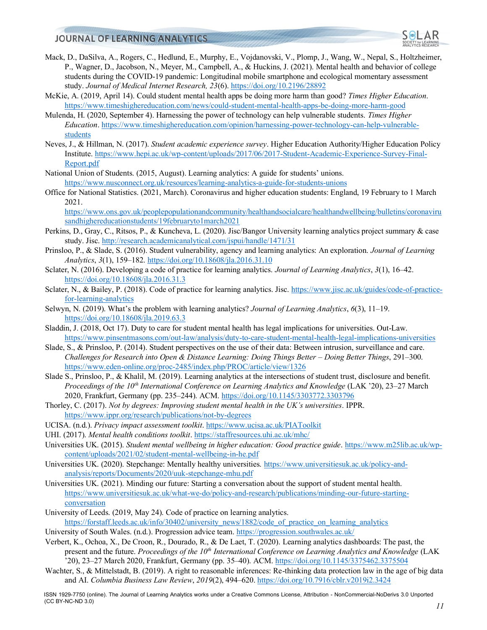

- Mack, D., DaSilva, A., Rogers, C., Hedlund, E., Murphy, E., Vojdanovski, V., Plomp, J., Wang, W., Nepal, S., Holtzheimer, P., Wagner, D., Jacobson, N., Meyer, M., Campbell, A., & Huckins, J. (2021). Mental health and behavior of college students during the COVID-19 pandemic: Longitudinal mobile smartphone and ecological momentary assessment study. *Journal of Medical Internet Research, 23*(6)[. https://doi.org/10.2196/28892](https://doi.org/10.2196/28892)
- McKie, A. (2019, April 14). Could student mental health apps be doing more harm than good? *Times Higher Education*. <https://www.timeshighereducation.com/news/could-student-mental-health-apps-be-doing-more-harm-good>
- Mulenda, H. (2020, September 4). Harnessing the power of technology can help vulnerable students. *Times Higher Education*[. https://www.timeshighereducation.com/opinion/harnessing-power-technology-can-help-vulnerable](https://www.timeshighereducation.com/opinion/harnessing-power-technology-can-help-vulnerable-students)[students](https://www.timeshighereducation.com/opinion/harnessing-power-technology-can-help-vulnerable-students)
- Neves, J., & Hillman, N. (2017). *Student academic experience survey*. Higher Education Authority/Higher Education Policy Institute. [https://www.hepi.ac.uk/wp-content/uploads/2017/06/2017-Student-Academic-Experience-Survey-Final-](https://www.hepi.ac.uk/wp-content/uploads/2017/06/2017-Student-Academic-Experience-Survey-Final-Report.pdf)[Report.pdf](https://www.hepi.ac.uk/wp-content/uploads/2017/06/2017-Student-Academic-Experience-Survey-Final-Report.pdf)
- National Union of Students. (2015, August). Learning analytics: A guide for students' unions. <https://www.nusconnect.org.uk/resources/learning-analytics-a-guide-for-students-unions>
- Office for National Statistics. (2021, March). Coronavirus and higher education students: England, 19 February to 1 March 2021.

[https://www.ons.gov.uk/peoplepopulationandcommunity/healthandsocialcare/healthandwellbeing/bulletins/coronaviru](https://www.ons.gov.uk/peoplepopulationandcommunity/healthandsocialcare/healthandwellbeing/bulletins/coronavirusandhighereducationstudents/19februaryto1march2021) [sandhighereducationstudents/19februaryto1march2021](https://www.ons.gov.uk/peoplepopulationandcommunity/healthandsocialcare/healthandwellbeing/bulletins/coronavirusandhighereducationstudents/19februaryto1march2021)

- Perkins, D., Gray, C., Ritsos, P., & Kuncheva, L. (2020). Jisc/Bangor University learning analytics project summary & case study. Jisc.<http://research.academicanalytical.com/jspui/handle/1471/31>
- Prinsloo, P., & Slade, S. (2016). Student vulnerability, agency and learning analytics: An exploration. *Journal of Learning Analytics*, *3*(1), 159–182.<https://doi.org/10.18608/jla.2016.31.10>
- Sclater, N. (2016). Developing a code of practice for learning analytics. *Journal of Learning Analytics*, *3*(1), 16–42. <https://doi.org/10.18608/jla.2016.31.3>
- Sclater, N., & Bailey, P. (2018). Code of practice for learning analytics. Jisc. [https://www.jisc.ac.uk/guides/code-of-practice](https://www.jisc.ac.uk/guides/code-of-practice-for-learning-analytics)[for-learning-analytics](https://www.jisc.ac.uk/guides/code-of-practice-for-learning-analytics)
- Selwyn, N. (2019). What's the problem with learning analytics? *Journal of Learning Analytics*, *6*(3), 11–19. <https://doi.org/10.18608/jla.2019.63.3>
- Sladdin, J. (2018, Oct 17). Duty to care for student mental health has legal implications for universities. Out-Law. <https://www.pinsentmasons.com/out-law/analysis/duty-to-care-student-mental-health-legal-implications-universities>
- Slade, S., & Prinsloo, P. (2014). Student perspectives on the use of their data: Between intrusion, surveillance and care. *Challenges for Research into Open & Distance Learning: Doing Things Better – Doing Better Things*, 291–300. <https://www.eden-online.org/proc-2485/index.php/PROC/article/view/1326>
- Slade S., Prinsloo, P., & Khalil, M. (2019). Learning analytics at the intersections of student trust, disclosure and benefit. *Proceedings of the 10th International Conference on Learning Analytics and Knowledge* (LAK '20), 23–27 March 2020, Frankfurt, Germany (pp. 235–244). ACM.<https://doi.org/10.1145/3303772.3303796>
- Thorley, C. (2017). *Not by degrees: Improving student mental health in the UK's universities*. IPPR. <https://www.ippr.org/research/publications/not-by-degrees>
- UCISA. (n.d.). *Privacy impact assessment toolkit*.<https://www.ucisa.ac.uk/PIAToolkit>
- UHI. (2017). *Mental health conditions toolkit*.<https://staffresources.uhi.ac.uk/mhc/>

Universities UK. (2015). *Student mental wellbeing in higher education: Good practice guide*[. https://www.m25lib.ac.uk/wp](https://www.m25lib.ac.uk/wp-content/uploads/2021/02/student-mental-wellbeing-in-he.pdf)[content/uploads/2021/02/student-mental-wellbeing-in-he.pdf](https://www.m25lib.ac.uk/wp-content/uploads/2021/02/student-mental-wellbeing-in-he.pdf)

- Universities UK. (2020). Stepchange: Mentally healthy universities. [https://www.universitiesuk.ac.uk/policy-and](https://www.universitiesuk.ac.uk/policy-and-analysis/reports/Documents/2020/uuk-stepchange-mhu.pdf)[analysis/reports/Documents/2020/uuk-stepchange-mhu.pdf](https://www.universitiesuk.ac.uk/policy-and-analysis/reports/Documents/2020/uuk-stepchange-mhu.pdf)
- Universities UK. (2021). Minding our future: Starting a conversation about the support of student mental health. [https://www.universitiesuk.ac.uk/what-we-do/policy-and-research/publications/minding-our-future-starting](https://www.universitiesuk.ac.uk/what-we-do/policy-and-research/publications/minding-our-future-starting-conversation)[conversation](https://www.universitiesuk.ac.uk/what-we-do/policy-and-research/publications/minding-our-future-starting-conversation)
- University of Leeds. (2019, May 24). Code of practice on learning analytics. [https://forstaff.leeds.ac.uk/info/30402/university\\_news/1882/code\\_of\\_practice\\_on\\_learning\\_analytics](https://forstaff.leeds.ac.uk/info/30402/university_news/1882/code_of_practice_on_learning_analytics)

University of South Wales. (n.d.). Progression advice team[. https://progression.southwales.ac.uk/](https://progression.southwales.ac.uk/)

- Verbert, K., Ochoa, X., De Croon, R., Dourado, R., & De Laet, T. (2020). Learning analytics dashboards: The past, the present and the future. *Proceedings of the 10th International Conference on Learning Analytics and Knowledge* (LAK '20), 23–27 March 2020, Frankfurt, Germany (pp. 35–40). ACM.<https://doi.org/10.1145/3375462.3375504>
- Wachter, S., & Mittelstadt, B. (2019). A right to reasonable inferences: Re-thinking data protection law in the age of big data and AI. *Columbia Business Law Review*, *2019*(2), 494–620[. https://doi.org/10.7916/cblr.v2019i2.3424](https://doi.org/10.7916/cblr.v2019i2.3424)